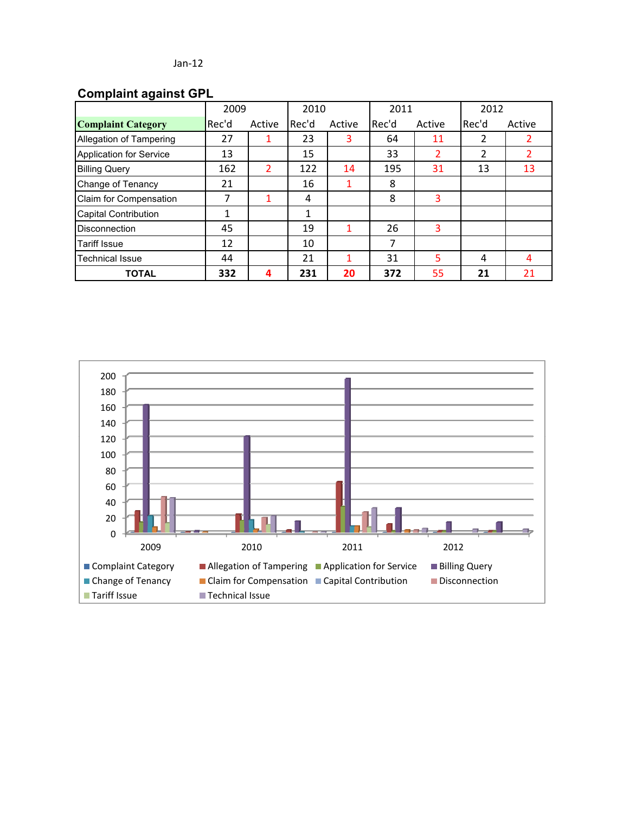# **Complaint against GPL**

|                             | 2009  |        | 2010  |        | 2011  |        | 2012  |        |
|-----------------------------|-------|--------|-------|--------|-------|--------|-------|--------|
| <b>Complaint Category</b>   | Rec'd | Active | Rec'd | Active | Rec'd | Active | Rec'd | Active |
| Allegation of Tampering     | 27    | 1      | 23    | 3      | 64    | 11     | 2     |        |
| Application for Service     | 13    |        | 15    |        | 33    | 2      | 2     |        |
| <b>Billing Query</b>        | 162   | 2      | 122   | 14     | 195   | 31     | 13    | 13     |
| Change of Tenancy           | 21    |        | 16    |        | 8     |        |       |        |
| Claim for Compensation      | 7     | 1      | 4     |        | 8     | 3      |       |        |
| <b>Capital Contribution</b> | 1     |        | 1     |        |       |        |       |        |
| <b>Disconnection</b>        | 45    |        | 19    |        | 26    | 3      |       |        |
| <b>Tariff Issue</b>         | 12    |        | 10    |        | 7     |        |       |        |
| <b>Technical Issue</b>      | 44    |        | 21    |        | 31    | 5      | 4     | 4      |
| <b>TOTAL</b>                | 332   | 4      | 231   | 20     | 372   | 55     | 21    | 21     |

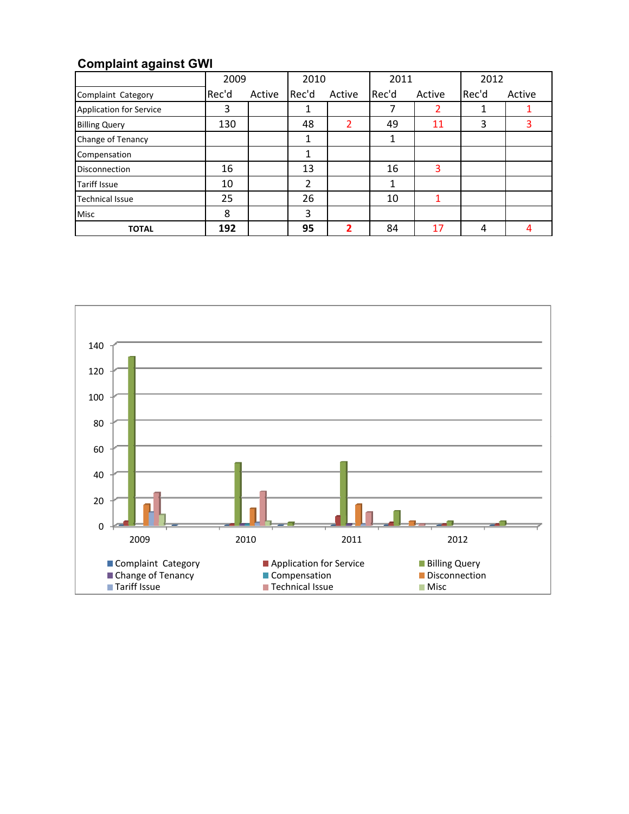# **Complaint against GWI**

|                         | 2009  |        | 2010  |        | 2011  |        | 2012  |        |
|-------------------------|-------|--------|-------|--------|-------|--------|-------|--------|
| Complaint Category      | Rec'd | Active | Rec'd | Active | Rec'd | Active | Rec'd | Active |
| Application for Service | 3     |        | 1     |        |       |        |       |        |
| <b>Billing Query</b>    | 130   |        | 48    |        | 49    | 11     | 3     | 3      |
| Change of Tenancy       |       |        | 1     |        |       |        |       |        |
| Compensation            |       |        | 1     |        |       |        |       |        |
| <b>Disconnection</b>    | 16    |        | 13    |        | 16    | 3      |       |        |
| <b>Tariff Issue</b>     | 10    |        | 2     |        |       |        |       |        |
| <b>Technical Issue</b>  | 25    |        | 26    |        | 10    |        |       |        |
| <b>Misc</b>             | 8     |        | 3     |        |       |        |       |        |
| <b>TOTAL</b>            | 192   |        | 95    | נר     | 84    | 17     | 4     |        |

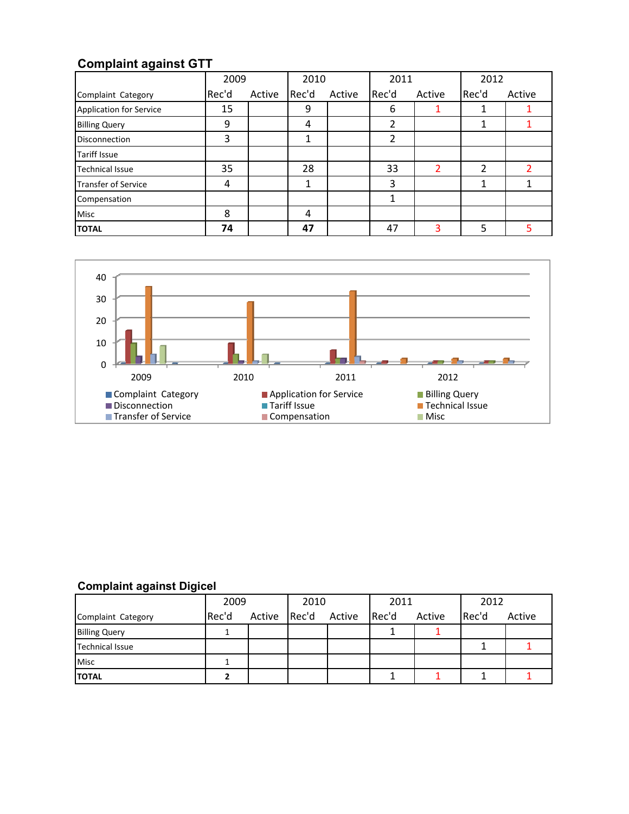# **Complaint against GTT**

|                            | 2009  |        | 2010  |        | 2011           |        | 2012  |        |
|----------------------------|-------|--------|-------|--------|----------------|--------|-------|--------|
| Complaint Category         | Rec'd | Active | Rec'd | Active | Rec'd          | Active | Rec'd | Active |
| Application for Service    | 15    |        | 9     |        | 6              |        |       |        |
| <b>Billing Query</b>       | 9     |        | 4     |        | $\mathfrak{p}$ |        |       |        |
| <b>Disconnection</b>       | 3     |        | 1     |        | 2              |        |       |        |
| <b>Tariff Issue</b>        |       |        |       |        |                |        |       |        |
| <b>Technical Issue</b>     | 35    |        | 28    |        | 33             | 2      | 2     |        |
| <b>Transfer of Service</b> | 4     |        | 1     |        | 3              |        | 1     |        |
| Compensation               |       |        |       |        |                |        |       |        |
| Misc                       | 8     |        | 4     |        |                |        |       |        |
| <b>TOTAL</b>               | 74    |        | 47    |        | 47             |        | 5     | 5      |



### **Complaint against Digicel**

|                        | 2009  |        | 2010  |        | 2011  |        | 2012  |        |
|------------------------|-------|--------|-------|--------|-------|--------|-------|--------|
| Complaint Category     | Rec'd | Active | Rec'd | Active | Rec'd | Active | Rec'd | Active |
| <b>Billing Query</b>   |       |        |       |        |       |        |       |        |
| <b>Technical Issue</b> |       |        |       |        |       |        |       |        |
| <b>Misc</b>            |       |        |       |        |       |        |       |        |
| <b>TOTAL</b>           |       |        |       |        |       |        |       |        |